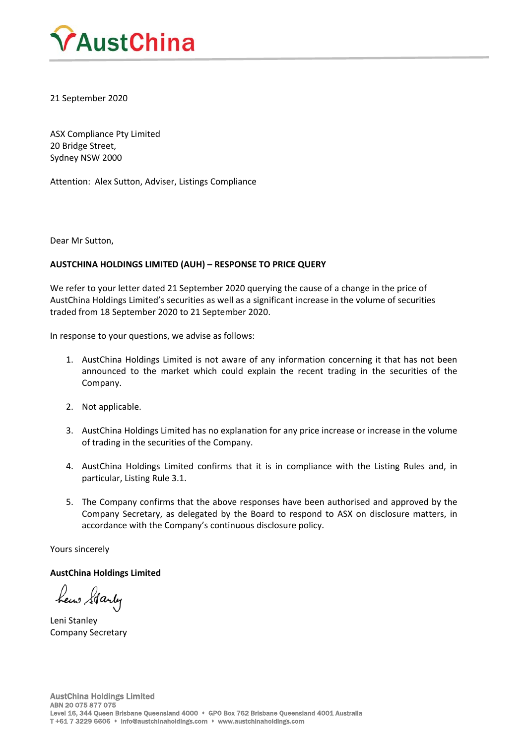

21 September 2020

ASX Compliance Pty Limited 20 Bridge Street, Sydney NSW 2000

Attention: Alex Sutton, Adviser, Listings Compliance

Dear Mr Sutton,

# **AUSTCHINA HOLDINGS LIMITED (AUH) – RESPONSE TO PRICE QUERY**

We refer to your letter dated 21 September 2020 querying the cause of a change in the price of AustChina Holdings Limited's securities as well as a significant increase in the volume of securities traded from 18 September 2020 to 21 September 2020.

In response to your questions, we advise as follows:

- 1. AustChina Holdings Limited is not aware of any information concerning it that has not been announced to the market which could explain the recent trading in the securities of the Company.
- 2. Not applicable.
- 3. AustChina Holdings Limited has no explanation for any price increase or increase in the volume of trading in the securities of the Company.
- 4. AustChina Holdings Limited confirms that it is in compliance with the Listing Rules and, in particular, Listing Rule 3.1.
- 5. The Company confirms that the above responses have been authorised and approved by the Company Secretary, as delegated by the Board to respond to ASX on disclosure matters, in accordance with the Company's continuous disclosure policy.

Yours sincerely

## **AustChina Holdings Limited**

hew Garly

Leni Stanley Company Secretary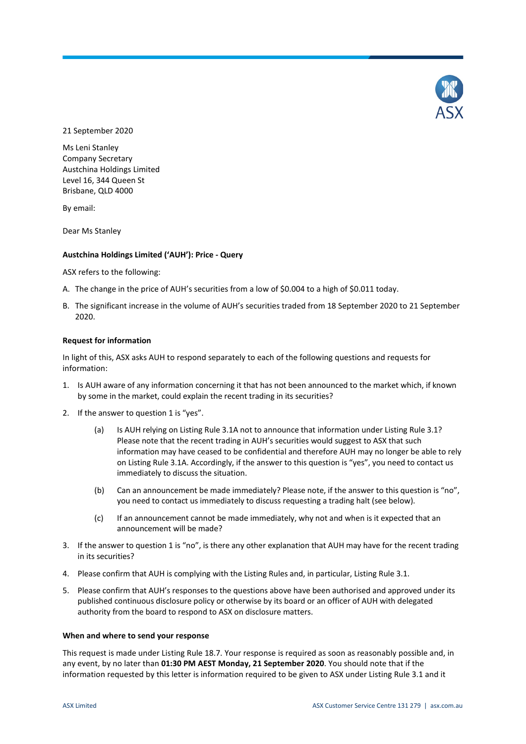

21 September 2020

Ms Leni Stanley Company Secretary Austchina Holdings Limited Level 16, 344 Queen St Brisbane, QLD 4000

By email:

Dear Ms Stanley

### **Austchina Holdings Limited ('AUH'): Price - Query**

ASX refers to the following:

- A. The change in the price of AUH's securities from a low of \$0.004 to a high of \$0.011 today.
- B. The significant increase in the volume of AUH's securities traded from 18 September 2020 to 21 September 2020.

#### **Request for information**

In light of this, ASX asks AUH to respond separately to each of the following questions and requests for information:

- 1. Is AUH aware of any information concerning it that has not been announced to the market which, if known by some in the market, could explain the recent trading in its securities?
- 2. If the answer to question 1 is "yes".
	- (a) Is AUH relying on Listing Rule 3.1A not to announce that information under Listing Rule 3.1? Please note that the recent trading in AUH's securities would suggest to ASX that such information may have ceased to be confidential and therefore AUH may no longer be able to rely on Listing Rule 3.1A. Accordingly, if the answer to this question is "yes", you need to contact us immediately to discuss the situation.
	- (b) Can an announcement be made immediately? Please note, if the answer to this question is "no", you need to contact us immediately to discuss requesting a trading halt (see below).
	- (c) If an announcement cannot be made immediately, why not and when is it expected that an announcement will be made?
- 3. If the answer to question 1 is "no", is there any other explanation that AUH may have for the recent trading in its securities?
- 4. Please confirm that AUH is complying with the Listing Rules and, in particular, Listing Rule 3.1.
- 5. Please confirm that AUH's responses to the questions above have been authorised and approved under its published continuous disclosure policy or otherwise by its board or an officer of AUH with delegated authority from the board to respond to ASX on disclosure matters.

#### **When and where to send your response**

This request is made under Listing Rule 18.7. Your response is required as soon as reasonably possible and, in any event, by no later than **01:30 PM AEST Monday, 21 September 2020**. You should note that if the information requested by this letter is information required to be given to ASX under Listing Rule 3.1 and it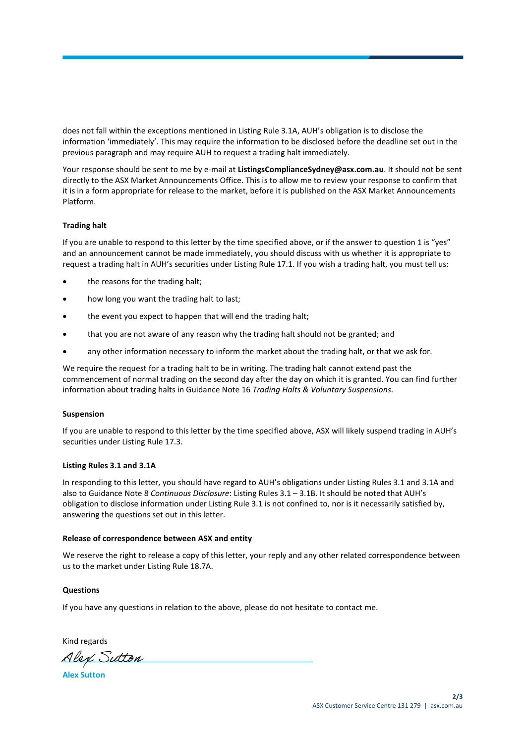does not fall within the exceptions mentioned in Listing Rule 3.1A, AUH's obligation is to disclose the information 'immediately'. This may require the information to be disclosed before the deadline set out in the previous paragraph and may require AUH to request a trading halt immediately.

Your response should be sent to me by e-mail at **ListingsComplianceSydney@asx.com.au**. It should not be sent directly to the ASX Market Announcements Office. This is to allow me to review your response to confirm that it is in a form appropriate for release to the market, before it is published on the ASX Market Announcements Platform.

## **Trading halt**

If you are unable to respond to this letter by the time specified above, or if the answer to question 1 is "yes" and an announcement cannot be made immediately, you should discuss with us whether it is appropriate to request a trading halt in AUH's securities under Listing Rule 17.1. If you wish a trading halt, you must tell us:

- the reasons for the trading halt;
- how long you want the trading halt to last;
- the event you expect to happen that will end the trading halt;
- that you are not aware of any reason why the trading halt should not be granted; and
- any other information necessary to inform the market about the trading halt, or that we ask for.

We require the request for a trading halt to be in writing. The trading halt cannot extend past the commencement of normal trading on the second day after the day on which it is granted. You can find further information about trading halts in Guidance Note 16 *Trading Halts & Voluntary Suspensions*.

## **Suspension**

If you are unable to respond to this letter by the time specified above, ASX will likely suspend trading in AUH's securities under Listing Rule 17.3.

## **Listing Rules 3.1 and 3.1A**

In responding to this letter, you should have regard to AUH's obligations under Listing Rules 3.1 and 3.1A and also to Guidance Note 8 *Continuous Disclosure*: Listing Rules 3.1 – 3.1B. It should be noted that AUH's obligation to disclose information under Listing Rule 3.1 is not confined to, nor is it necessarily satisfied by, answering the questions set out in this letter.

## **Release of correspondence between ASX and entity**

We reserve the right to release a copy of this letter, your reply and any other related correspondence between us to the market under Listing Rule 18.7A.

## **Questions**

If you have any questions in relation to the above, please do not hesitate to contact me.

Kind regards

Alex Sutton

**Alex Sutton**